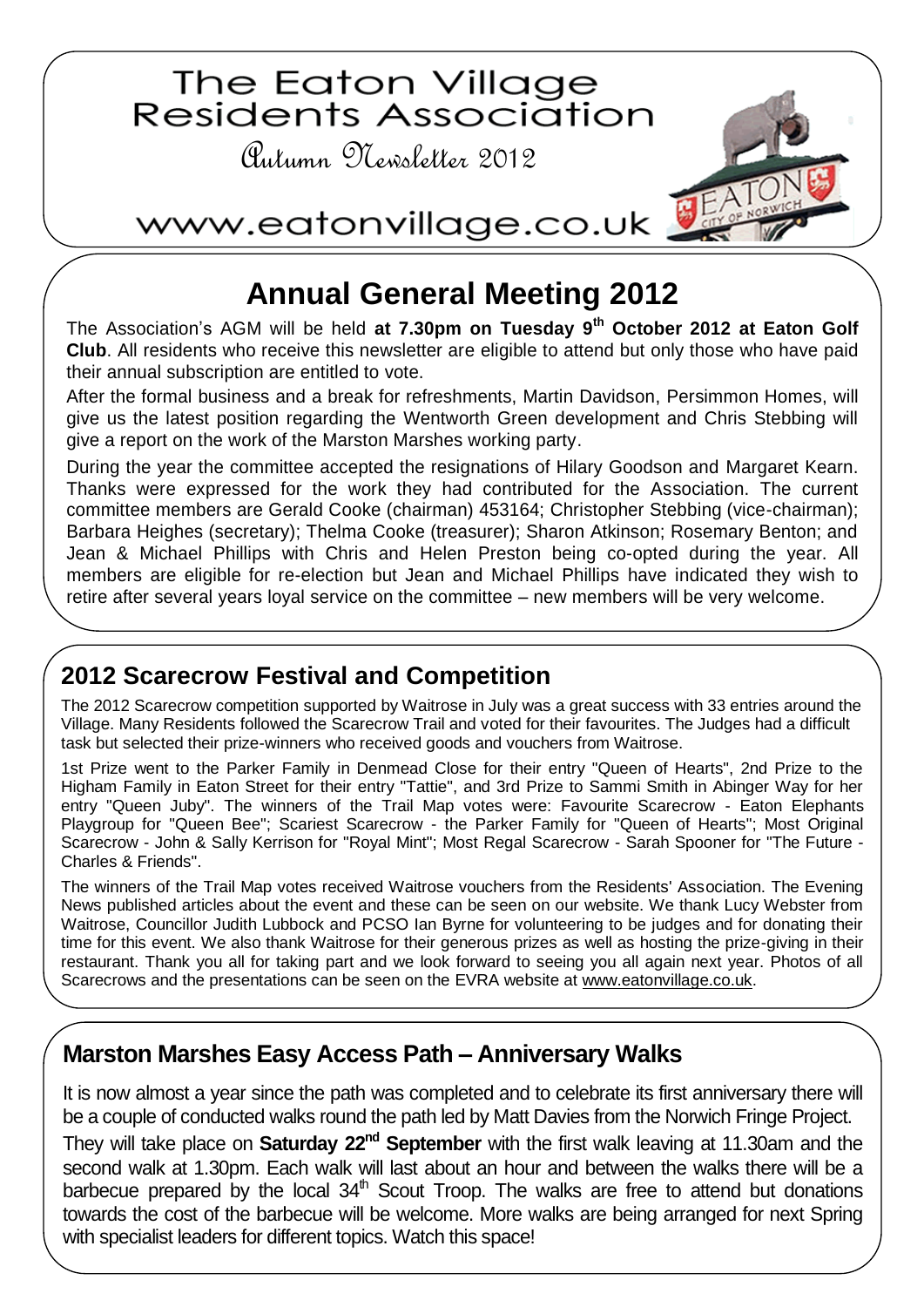

# **Annual General Meeting 2012**

The Association's AGM will be held **at 7.30pm on Tuesday 9th October 2012 at Eaton Golf Club**. All residents who receive this newsletter are eligible to attend but only those who have paid their annual subscription are entitled to vote.

After the formal business and a break for refreshments, Martin Davidson, Persimmon Homes, will give us the latest position regarding the Wentworth Green development and Chris Stebbing will give a report on the work of the Marston Marshes working party.

During the year the committee accepted the resignations of Hilary Goodson and Margaret Kearn. Thanks were expressed for the work they had contributed for the Association. The current committee members are Gerald Cooke (chairman) 453164; Christopher Stebbing (vice-chairman); Barbara Heighes (secretary); Thelma Cooke (treasurer); Sharon Atkinson; Rosemary Benton; and Jean & Michael Phillips with Chris and Helen Preston being co-opted during the year. All members are eligible for re-election but Jean and Michael Phillips have indicated they wish to retire after several years loyal service on the committee – new members will be very welcome.

### **2012 Scarecrow Festival and Competition**

The 2012 Scarecrow competition supported by Waitrose in July was a great success with 33 entries around the Village. Many Residents followed the Scarecrow Trail and voted for their favourites. The Judges had a difficult task but selected their prize-winners who received goods and vouchers from Waitrose.

1st Prize went to the Parker Family in Denmead Close for their entry "Queen of Hearts", 2nd Prize to the Higham Family in Eaton Street for their entry "Tattie", and 3rd Prize to Sammi Smith in Abinger Way for her entry "Queen Juby". The winners of the Trail Map votes were: Favourite Scarecrow - Eaton Elephants Playgroup for "Queen Bee"; Scariest Scarecrow - the Parker Family for "Queen of Hearts"; Most Original Scarecrow - John & Sally Kerrison for "Royal Mint"; Most Regal Scarecrow - Sarah Spooner for "The Future - Charles & Friends".

The winners of the Trail Map votes received Waitrose vouchers from the Residents' Association. The Evening News published articles about the event and these can be seen on our website. We thank Lucy Webster from Waitrose, Councillor Judith Lubbock and PCSO Ian Byrne for volunteering to be judges and for donating their time for this event. We also thank Waitrose for their generous prizes as well as hosting the prize-giving in their restaurant. Thank you all for taking part and we look forward to seeing you all again next year. Photos of all Scarecrows and the presentations can be seen on the EVRA website at [www.eatonvillage.co.uk.](http://www.eatonvillage.co.uk/)

### **Marston Marshes Easy Access Path – Anniversary Walks**

It is now almost a year since the path was completed and to celebrate its first anniversary there will be a couple of conducted walks round the path led by Matt Davies from the Norwich Fringe Project.

They will take place on **Saturday 22nd September** with the first walk leaving at 11.30am and the second walk at 1.30pm. Each walk will last about an hour and between the walks there will be a barbecue prepared by the local  $34<sup>th</sup>$  Scout Troop. The walks are free to attend but donations towards the cost of the barbecue will be welcome. More walks are being arranged for next Spring with specialist leaders for different topics. Watch this space!